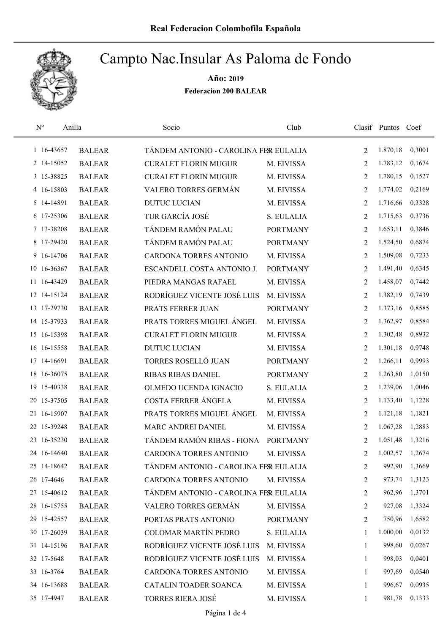

| $\rm N^o$   | Anilla        | Socio                                 | Club            |                | Clasif Puntos Coef |        |
|-------------|---------------|---------------------------------------|-----------------|----------------|--------------------|--------|
| 1 16-43657  | <b>BALEAR</b> | TÁNDEM ANTONIO - CAROLINA FER EULALIA |                 | 2              | 1.870,18           | 0,3001 |
| 2 14-15052  | <b>BALEAR</b> | <b>CURALET FLORIN MUGUR</b>           | M. EIVISSA      | 2              | 1.783,12           | 0,1674 |
| 3 15-38825  | <b>BALEAR</b> | <b>CURALET FLORIN MUGUR</b>           | M. EIVISSA      | 2              | 1.780,15           | 0,1527 |
| 4 16-15803  | <b>BALEAR</b> | VALERO TORRES GERMÁN                  | M. EIVISSA      | 2              | 1.774,02           | 0,2169 |
| 5 14-14891  | <b>BALEAR</b> | <b>DUTUC LUCIAN</b>                   | M. EIVISSA      | 2              | 1.716,66           | 0,3328 |
| 6 17-25306  | <b>BALEAR</b> | TUR GARCÍA JOSÉ                       | S. EULALIA      | 2              | 1.715,63           | 0,3736 |
| 7 13-38208  | <b>BALEAR</b> | TÁNDEM RAMÓN PALAU                    | <b>PORTMANY</b> | 2              | 1.653,11           | 0,3846 |
| 8 17-29420  | <b>BALEAR</b> | TÁNDEM RAMÓN PALAU                    | <b>PORTMANY</b> | 2              | 1.524,50           | 0,6874 |
| 9 16-14706  | <b>BALEAR</b> | CARDONA TORRES ANTONIO                | M. EIVISSA      | 2              | 1.509,08           | 0,7233 |
| 10 16-36367 | <b>BALEAR</b> | ESCANDELL COSTA ANTONIO J.            | <b>PORTMANY</b> | 2              | 1.491,40           | 0,6345 |
| 11 16-43429 | <b>BALEAR</b> | PIEDRA MANGAS RAFAEL                  | M. EIVISSA      | 2              | 1.458,07           | 0,7442 |
| 12 14-15124 | <b>BALEAR</b> | RODRÍGUEZ VICENTE JOSÉ LUIS           | M. EIVISSA      | 2              | 1.382,19           | 0,7439 |
| 13 17-29730 | <b>BALEAR</b> | PRATS FERRER JUAN                     | <b>PORTMANY</b> | 2              | 1.373,16           | 0,8585 |
| 14 15-37933 | <b>BALEAR</b> | PRATS TORRES MIGUEL ÁNGEL             | M. EIVISSA      | $\overline{2}$ | 1.362,97           | 0,8584 |
| 15 16-15398 | <b>BALEAR</b> | <b>CURALET FLORIN MUGUR</b>           | M. EIVISSA      | $\overline{2}$ | 1.302,48           | 0,8932 |
| 16 16-15558 | <b>BALEAR</b> | <b>DUTUC LUCIAN</b>                   | M. EIVISSA      | 2              | 1.301,18           | 0,9748 |
| 17 14-16691 | <b>BALEAR</b> | TORRES ROSELLÓ JUAN                   | <b>PORTMANY</b> | 2              | 1.266,11           | 0,9993 |
| 18 16-36075 | <b>BALEAR</b> | RIBAS RIBAS DANIEL                    | <b>PORTMANY</b> | $\overline{2}$ | 1.263,80           | 1,0150 |
| 19 15-40338 | <b>BALEAR</b> | OLMEDO UCENDA IGNACIO                 | S. EULALIA      | 2              | 1.239,06           | 1,0046 |
| 20 15-37505 | <b>BALEAR</b> | COSTA FERRER ÁNGELA                   | M. EIVISSA      | 2              | 1.133,40           | 1,1228 |
| 21 16-15907 | <b>BALEAR</b> | PRATS TORRES MIGUEL ÁNGEL             | M. EIVISSA      | 2              | 1.121,18           | 1,1821 |
| 22 15-39248 | <b>BALEAR</b> | MARC ANDREI DANIEL                    | M. EIVISSA      | 2              | 1.067,28           | 1,2883 |
| 23 16-35230 | <b>BALEAR</b> | TÁNDEM RAMÓN RIBAS - FIONA            | <b>PORTMANY</b> | 2              | 1.051,48           | 1,3216 |
| 24 16-14640 | <b>BALEAR</b> | CARDONA TORRES ANTONIO                | M. EIVISSA      | $\overline{2}$ | 1.002,57           | 1,2674 |
| 25 14-18642 | <b>BALEAR</b> | TÁNDEM ANTONIO - CAROLINA FER EULALIA |                 | 2              | 992,90             | 1,3669 |
| 26 17-4646  | <b>BALEAR</b> | CARDONA TORRES ANTONIO                | M. EIVISSA      | 2              | 973,74             | 1,3123 |
| 27 15-40612 | <b>BALEAR</b> | TÁNDEM ANTONIO - CAROLINA FER EULALIA |                 | $\overline{2}$ | 962,96             | 1,3701 |
| 28 16-15755 | <b>BALEAR</b> | VALERO TORRES GERMÁN                  | M. EIVISSA      | 2              | 927,08             | 1,3324 |
| 29 15-42557 | <b>BALEAR</b> | PORTAS PRATS ANTONIO                  | <b>PORTMANY</b> | 2              | 750,96             | 1,6582 |
| 30 17-26039 | <b>BALEAR</b> | <b>COLOMAR MARTÍN PEDRO</b>           | S. EULALIA      | 1              | 1.000,00           | 0,0132 |
| 31 14-15196 | <b>BALEAR</b> | RODRÍGUEZ VICENTE JOSÉ LUIS           | M. EIVISSA      | 1              | 998,60             | 0,0267 |
| 32 17-5648  | <b>BALEAR</b> | RODRÍGUEZ VICENTE JOSÉ LUIS           | M. EIVISSA      | 1              | 998,03             | 0,0401 |
| 33 16-3764  | <b>BALEAR</b> | CARDONA TORRES ANTONIO                | M. EIVISSA      | 1              | 997,69             | 0,0540 |
| 34 16-13688 | <b>BALEAR</b> | CATALIN TOADER SOANCA                 | M. EIVISSA      | 1              | 996,67             | 0,0935 |
| 35 17-4947  | <b>BALEAR</b> | <b>TORRES RIERA JOSÉ</b>              | M. EIVISSA      | 1              | 981,78             | 0,1333 |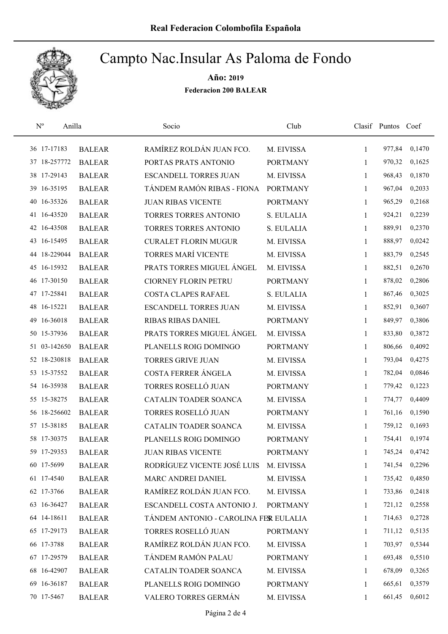

| $\mathbf{N}^{\text{o}}$<br>Anilla |               | Socio                                 | Club            |              | Clasif Puntos Coef |        |
|-----------------------------------|---------------|---------------------------------------|-----------------|--------------|--------------------|--------|
| 36 17-17183                       | <b>BALEAR</b> | RAMÍREZ ROLDÁN JUAN FCO.              | M. EIVISSA      | $\mathbf{1}$ | 977,84             | 0,1470 |
| 37 18-257772                      | <b>BALEAR</b> | PORTAS PRATS ANTONIO                  | <b>PORTMANY</b> | 1            | 970,32             | 0,1625 |
| 38 17-29143                       | <b>BALEAR</b> | <b>ESCANDELL TORRES JUAN</b>          | M. EIVISSA      | 1            | 968,43             | 0,1870 |
| 39 16-35195                       | <b>BALEAR</b> | TÁNDEM RAMÓN RIBAS - FIONA            | <b>PORTMANY</b> | 1            | 967,04             | 0,2033 |
| 40 16-35326                       | <b>BALEAR</b> | <b>JUAN RIBAS VICENTE</b>             | <b>PORTMANY</b> | $\mathbf{1}$ | 965,29             | 0,2168 |
| 41 16-43520                       | <b>BALEAR</b> | TORRES TORRES ANTONIO                 | S. EULALIA      | $\mathbf{1}$ | 924,21             | 0,2239 |
| 42 16-43508                       | <b>BALEAR</b> | TORRES TORRES ANTONIO                 | S. EULALIA      | 1            | 889,91             | 0,2370 |
| 43 16-15495                       | <b>BALEAR</b> | <b>CURALET FLORIN MUGUR</b>           | M. EIVISSA      | $\mathbf{1}$ | 888,97             | 0,0242 |
| 44 18-229044                      | <b>BALEAR</b> | <b>TORRES MARÍ VICENTE</b>            | M. EIVISSA      | 1            | 883,79             | 0,2545 |
| 45 16-15932                       | <b>BALEAR</b> | PRATS TORRES MIGUEL ÁNGEL             | M. EIVISSA      | $\mathbf{1}$ | 882,51             | 0,2670 |
| 46 17-30150                       | <b>BALEAR</b> | <b>CIORNEY FLORIN PETRU</b>           | <b>PORTMANY</b> | 1            | 878,02             | 0,2806 |
| 47 17-25841                       | <b>BALEAR</b> | <b>COSTA CLAPES RAFAEL</b>            | S. EULALIA      | 1            | 867,46             | 0,3025 |
| 48 16-15221                       | <b>BALEAR</b> | <b>ESCANDELL TORRES JUAN</b>          | M. EIVISSA      | 1            | 852,91             | 0,3607 |
| 16-36018<br>49                    | <b>BALEAR</b> | <b>RIBAS RIBAS DANIEL</b>             | <b>PORTMANY</b> | 1            | 849,97             | 0,3806 |
| 50 15-37936                       | <b>BALEAR</b> | PRATS TORRES MIGUEL ÁNGEL             | M. EIVISSA      | $\mathbf{1}$ | 833,80             | 0,3872 |
| 51 03-142650                      | <b>BALEAR</b> | PLANELLS ROIG DOMINGO                 | <b>PORTMANY</b> | 1            | 806,66             | 0,4092 |
| 52 18-230818                      | <b>BALEAR</b> | <b>TORRES GRIVE JUAN</b>              | M. EIVISSA      | 1            | 793,04             | 0,4275 |
| 53 15-37552                       | <b>BALEAR</b> | COSTA FERRER ÁNGELA                   | M. EIVISSA      | 1            | 782,04             | 0,0846 |
| 54 16-35938                       | <b>BALEAR</b> | TORRES ROSELLÓ JUAN                   | <b>PORTMANY</b> | 1            | 779,42             | 0,1223 |
| 55 15-38275                       | <b>BALEAR</b> | CATALIN TOADER SOANCA                 | M. EIVISSA      | 1            | 774,77             | 0,4409 |
| 56 18-256602                      | <b>BALEAR</b> | TORRES ROSELLÓ JUAN                   | <b>PORTMANY</b> | 1            | 761,16             | 0,1590 |
| 57 15-38185                       | <b>BALEAR</b> | CATALIN TOADER SOANCA                 | M. EIVISSA      | 1            | 759,12             | 0,1693 |
| 58 17-30375                       | <b>BALEAR</b> | PLANELLS ROIG DOMINGO                 | <b>PORTMANY</b> | 1            | 754,41             | 0,1974 |
| 59 17-29353                       | <b>BALEAR</b> | <b>JUAN RIBAS VICENTE</b>             | <b>PORTMANY</b> | 1            | 745,24             | 0,4742 |
| 60 17-5699                        | <b>BALEAR</b> | RODRÍGUEZ VICENTE JOSÉ LUIS           | M. EIVISSA      | $\mathbf{1}$ | 741,54             | 0,2296 |
| 61 17-4540                        | <b>BALEAR</b> | MARC ANDREI DANIEL                    | M. EIVISSA      | 1            | 735,42             | 0,4850 |
| 62 17-3766                        | <b>BALEAR</b> | RAMÍREZ ROLDÁN JUAN FCO.              | M. EIVISSA      | 1            | 733,86             | 0,2418 |
| 63 16-36427                       | <b>BALEAR</b> | ESCANDELL COSTA ANTONIO J.            | <b>PORTMANY</b> | $\mathbf{1}$ | 721,12             | 0,2558 |
| 64 14-18611                       | <b>BALEAR</b> | TÁNDEM ANTONIO - CAROLINA FER EULALIA |                 | 1            | 714,63             | 0,2728 |
| 65 17-29173                       | <b>BALEAR</b> | TORRES ROSELLÓ JUAN                   | <b>PORTMANY</b> | 1            | 711,12             | 0,5135 |
| 66 17-3788                        | <b>BALEAR</b> | RAMÍREZ ROLDÁN JUAN FCO.              | M. EIVISSA      | $\mathbf{1}$ | 703,97             | 0,5344 |
| 67 17-29579                       | <b>BALEAR</b> | TÁNDEM RAMÓN PALAU                    | <b>PORTMANY</b> | 1            | 693,48             | 0,5510 |
| 68 16-42907                       | <b>BALEAR</b> | CATALIN TOADER SOANCA                 | M. EIVISSA      | 1            | 678,09             | 0,3265 |
| 69 16-36187                       | <b>BALEAR</b> | PLANELLS ROIG DOMINGO                 | <b>PORTMANY</b> | 1            | 665,61             | 0,3579 |
| 70 17-5467                        | <b>BALEAR</b> | VALERO TORRES GERMÁN                  | M. EIVISSA      | $\mathbf{1}$ | 661,45             | 0,6012 |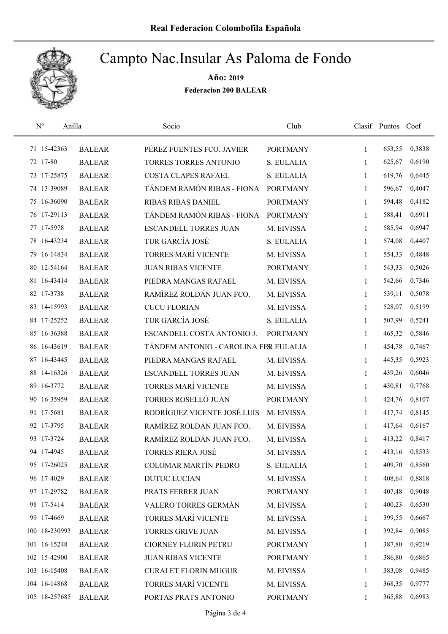

| $\rm N^o$     | Anilla        | Socio                                 | Club            |              | Clasif Puntos Coef |        |
|---------------|---------------|---------------------------------------|-----------------|--------------|--------------------|--------|
| 71 15-42363   | <b>BALEAR</b> | PÉREZ FUENTES FCO. JAVIER             | <b>PORTMANY</b> | 1            | 653,55             | 0,3838 |
| 72 17-80      | <b>BALEAR</b> | TORRES TORRES ANTONIO                 | S. EULALIA      | 1            | 625,67             | 0,6190 |
| 73 17-25875   | <b>BALEAR</b> | <b>COSTA CLAPES RAFAEL</b>            | S. EULALIA      | $\mathbf{1}$ | 619,76             | 0,6445 |
| 74 13-39089   | <b>BALEAR</b> | TÁNDEM RAMÓN RIBAS - FIONA            | <b>PORTMANY</b> | $\mathbf{1}$ | 596,67             | 0,4047 |
| 75 16-36090   | <b>BALEAR</b> | <b>RIBAS RIBAS DANIEL</b>             | <b>PORTMANY</b> | $\mathbf{1}$ | 594,48             | 0,4182 |
| 76 17-29113   | <b>BALEAR</b> | TÁNDEM RAMÓN RIBAS - FIONA            | <b>PORTMANY</b> | $\mathbf{1}$ | 588,41             | 0,6911 |
| 77 17-5978    | <b>BALEAR</b> | <b>ESCANDELL TORRES JUAN</b>          | M. EIVISSA      | $\mathbf{1}$ | 585,94             | 0,6947 |
| 78 16-43234   | <b>BALEAR</b> | TUR GARCÍA JOSÉ                       | S. EULALIA      | $\mathbf{1}$ | 574,08             | 0,4407 |
| 79 16-14834   | <b>BALEAR</b> | TORRES MARÍ VICENTE                   | M. EIVISSA      | 1            | 554,33             | 0,4848 |
| 80 12-54164   | <b>BALEAR</b> | <b>JUAN RIBAS VICENTE</b>             | <b>PORTMANY</b> | 1            | 543,33             | 0,5026 |
| 81 16-43414   | <b>BALEAR</b> | PIEDRA MANGAS RAFAEL                  | M. EIVISSA      | 1            | 542,66             | 0,7346 |
| 82 17-3738    | <b>BALEAR</b> | RAMÍREZ ROLDÁN JUAN FCO.              | M. EIVISSA      | 1            | 539,11             | 0,5078 |
| 83 14-15993   | <b>BALEAR</b> | <b>CUCU FLORIAN</b>                   | M. EIVISSA      | 1            | 528,07             | 0,5199 |
| 84 17-25252   | <b>BALEAR</b> | TUR GARCÍA JOSÉ                       | S. EULALIA      | 1            | 507,99             | 0,5241 |
| 85 16-36388   | <b>BALEAR</b> | ESCANDELL COSTA ANTONIO J.            | <b>PORTMANY</b> | 1            | 465,32             | 0,5846 |
| 86 16-43619   | <b>BALEAR</b> | TÁNDEM ANTONIO - CAROLINA FER EULALIA |                 | 1            | 454,78             | 0,7467 |
| 87 16-43445   | <b>BALEAR</b> | PIEDRA MANGAS RAFAEL                  | M. EIVISSA      | 1            | 445,35             | 0,5923 |
| 88 14-16326   | <b>BALEAR</b> | <b>ESCANDELL TORRES JUAN</b>          | M. EIVISSA      | $\mathbf{1}$ | 439,26             | 0,6046 |
| 89 16-3772    | <b>BALEAR</b> | TORRES MARÍ VICENTE                   | M. EIVISSA      | $\mathbf{1}$ | 430,81             | 0,7768 |
| 90 16-35959   | <b>BALEAR</b> | TORRES ROSELLÓ JUAN                   | <b>PORTMANY</b> | 1            | 424,76             | 0,8107 |
| 91 17-5681    | <b>BALEAR</b> | RODRÍGUEZ VICENTE JOSÉ LUIS           | M. EIVISSA      | $\mathbf{1}$ | 417,74             | 0,8145 |
| 92 17-3795    | <b>BALEAR</b> | RAMÍREZ ROLDÁN JUAN FCO.              | M. EIVISSA      | 1            | 417,64             | 0,6167 |
| 93 17-3724    | <b>BALEAR</b> | RAMÍREZ ROLDÁN JUAN FCO.              | M. EIVISSA      | 1            | 413,22             | 0,8417 |
| 94 17-4945    | <b>BALEAR</b> | <b>TORRES RIERA JOSÉ</b>              | M. EIVISSA      | 1            | 413,16             | 0,8533 |
| 95 17-26025   | <b>BALEAR</b> | <b>COLOMAR MARTÍN PEDRO</b>           | S. EULALIA      | 1            | 409,70             | 0,8560 |
| 96 17-4029    | <b>BALEAR</b> | <b>DUTUC LUCIAN</b>                   | M. EIVISSA      | 1            | 408,64             | 0,8818 |
| 97 17-29782   | <b>BALEAR</b> | PRATS FERRER JUAN                     | <b>PORTMANY</b> | 1            | 407,48             | 0,9048 |
| 98 17-5414    | <b>BALEAR</b> | VALERO TORRES GERMÁN                  | M. EIVISSA      | 1            | 400,23             | 0,6530 |
| 99 17-4669    | <b>BALEAR</b> | TORRES MARÍ VICENTE                   | M. EIVISSA      | 1            | 399,55             | 0,6667 |
| 100 18-230993 | <b>BALEAR</b> | <b>TORRES GRIVE JUAN</b>              | M. EIVISSA      | $\mathbf{1}$ | 392,84             | 0,9085 |
| 101 16-15248  | <b>BALEAR</b> | <b>CIORNEY FLORIN PETRU</b>           | <b>PORTMANY</b> | 1            | 387,80             | 0,9219 |
| 102 15-42900  | <b>BALEAR</b> | <b>JUAN RIBAS VICENTE</b>             | <b>PORTMANY</b> | 1            | 386,80             | 0,6865 |
| 103 16-15408  | <b>BALEAR</b> | <b>CURALET FLORIN MUGUR</b>           | M. EIVISSA      | 1            | 383,08             | 0,9485 |
| 104 16-14868  | <b>BALEAR</b> | <b>TORRES MARÍ VICENTE</b>            | M. EIVISSA      | 1            | 368,35             | 0,9777 |
| 105 18-257685 | <b>BALEAR</b> | PORTAS PRATS ANTONIO                  | <b>PORTMANY</b> | $\mathbf{1}$ | 365,88             | 0,6983 |